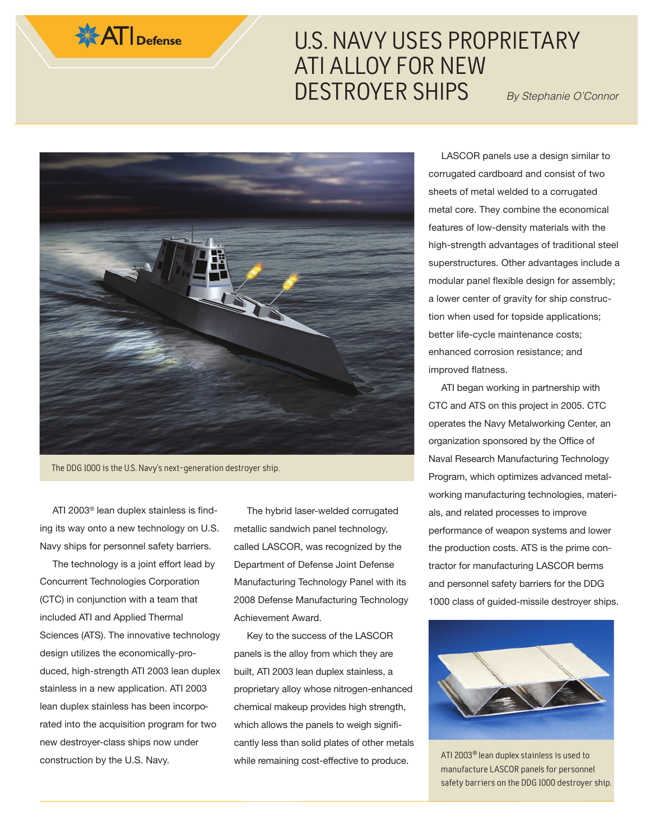

## U.S. NAVY USES PROPRIETARY ATI ALLOY FOR NEW DESTROYER SHIPS By Stephanie O'Connor



The DDG 1000 is the U.S. Navy's next-generation destroyer ship.

ATI 2003® lean duplex stainless is finding its way onto a new technology on U.S. Navy ships for personnel safety barriers.

The technology is a joint effort lead by Concurrent Technologies Corporation (CTC) in conjunction with a team that included ATI and Applied Thermal Sciences (ATS). The innovative technology design utilizes the economically-produced, high-strength ATI 2003 lean duplex stainless in a new application. ATI 2003 lean duplex stainless has been incorporated into the acquisition program for two new destroyer-class ships now under construction by the U.S. Navy.

The hybrid laser-welded corrugated metallic sandwich panel technology, called LASCOR, was recognized by the Department of Defense Joint Defense Manufacturing Technology Panel with its 2008 Defense Manufacturing Technology Achievement Award.

Key to the success of the LASCOR panels is the alloy from which they are built, ATI 2003 lean duplex stainless, a proprietary alloy whose nitrogen-enhanced chemical makeup provides high strength, which allows the panels to weigh significantly less than solid plates of other metals while remaining cost-effective to produce.

LASCOR panels use a design similar to corrugated cardboard and consist of two sheets of metal welded to a corrugated metal core. They combine the economical features of low-density materials with the high-strength advantages of traditional steel superstructures. Other advantages include a modular panel flexible design for assembly; a lower center of gravity for ship construction when used for topside applications; better life-cycle maintenance costs; enhanced corrosion resistance; and improved flatness.

ATI began working in partnership with CTC and ATS on this project in 2005. CTC operates the Navy Metalworking Center, an organization sponsored by the Office of Naval Research Manufacturing Technology Program, which optimizes advanced metalworking manufacturing technologies, materials, and related processes to improve performance of weapon systems and lower the production costs. ATS is the prime contractor for manufacturing LASCOR berms and personnel safety barriers for the DDG 1000 class of guided-missile destroyer ships.



ATI 2003® lean duplex stainless is used to manufacture LASCOR panels for personnel safety barriers on the DDG 1000 destroyer ship.